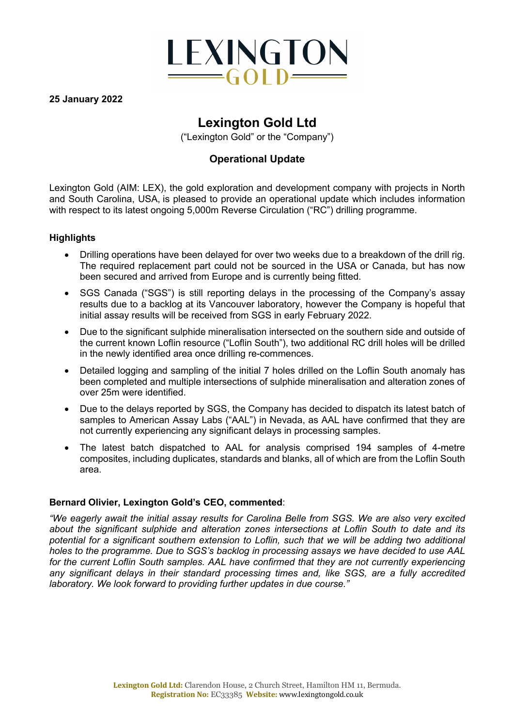

**25 January 2022**

# **Lexington Gold Ltd**

("Lexington Gold" or the "Company")

# **Operational Update**

Lexington Gold (AIM: LEX), the gold exploration and development company with projects in North and South Carolina, USA, is pleased to provide an operational update which includes information with respect to its latest ongoing 5,000m Reverse Circulation ("RC") drilling programme.

## **Highlights**

- Drilling operations have been delayed for over two weeks due to a breakdown of the drill rig. The required replacement part could not be sourced in the USA or Canada, but has now been secured and arrived from Europe and is currently being fitted.
- SGS Canada ("SGS") is still reporting delays in the processing of the Company's assay results due to a backlog at its Vancouver laboratory, however the Company is hopeful that initial assay results will be received from SGS in early February 2022.
- Due to the significant sulphide mineralisation intersected on the southern side and outside of the current known Loflin resource ("Loflin South"), two additional RC drill holes will be drilled in the newly identified area once drilling re-commences.
- Detailed logging and sampling of the initial 7 holes drilled on the Loflin South anomaly has been completed and multiple intersections of sulphide mineralisation and alteration zones of over 25m were identified.
- Due to the delays reported by SGS, the Company has decided to dispatch its latest batch of samples to American Assay Labs ("AAL") in Nevada, as AAL have confirmed that they are not currently experiencing any significant delays in processing samples.
- The latest batch dispatched to AAL for analysis comprised 194 samples of 4-metre composites, including duplicates, standards and blanks, all of which are from the Loflin South area.

# **Bernard Olivier, Lexington Gold's CEO, commented**:

*"We eagerly await the initial assay results for Carolina Belle from SGS. We are also very excited about the significant sulphide and alteration zones intersections at Loflin South to date and its potential for a significant southern extension to Loflin, such that we will be adding two additional holes to the programme. Due to SGS's backlog in processing assays we have decided to use AAL for the current Loflin South samples. AAL have confirmed that they are not currently experiencing any significant delays in their standard processing times and, like SGS, are a fully accredited laboratory. We look forward to providing further updates in due course."*